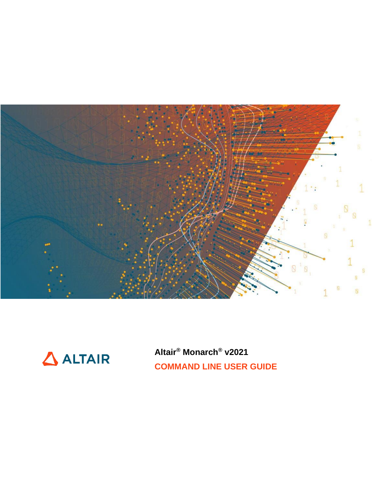



Altair<sup>®</sup> Monarch<sup>®</sup> v2021 **COMMAND LINE USER GUIDE**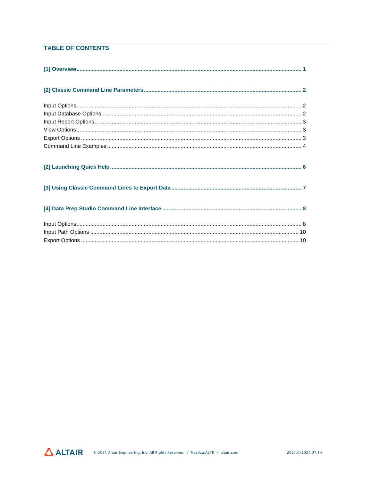### **TABLE OF CONTENTS**

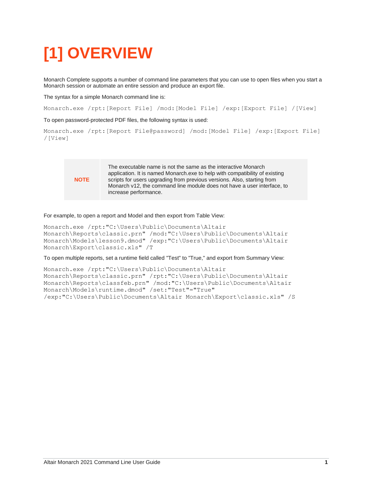# <span id="page-2-0"></span>**[1] OVERVIEW**

Monarch Complete supports a number of command line parameters that you can use to open files when you start a Monarch session or automate an entire session and produce an export file.

The syntax for a simple Monarch command line is:

Monarch.exe /rpt:[Report File] /mod:[Model File] /exp:[Export File] /[View]

To open password-protected PDF files, the following syntax is used:

```
Monarch.exe /rpt:[Report File@password] /mod:[Model File] /exp:[Export File] 
/[View]
```


The executable name is not the same as the interactive Monarch application. It is named Monarch.exe to help with compatibility of existing scripts for users upgrading from previous versions. Also, starting from Monarch v12, the command line module does not have a user interface, to increase performance.

For example, to open a report and Model and then export from Table View:

```
Monarch.exe /rpt:"C:\Users\Public\Documents\Altair
Monarch\Reports\classic.prn" /mod:"C:\Users\Public\Documents\Altair
Monarch\Models\lesson9.dmod" /exp:"C:\Users\Public\Documents\Altair
Monarch\Export\classic.xls" /T
```
To open multiple reports, set a runtime field called "Test" to "True," and export from Summary View:

```
Monarch.exe /rpt:"C:\Users\Public\Documents\Altair
Monarch\Reports\classic.prn" /rpt:"C:\Users\Public\Documents\Altair
Monarch\Reports\classfeb.prn" /mod:"C:\Users\Public\Documents\Altair
Monarch\Models\runtime.dmod" /set:"Test"="True" 
/exp:"C:\Users\Public\Documents\Altair Monarch\Export\classic.xls" /S
```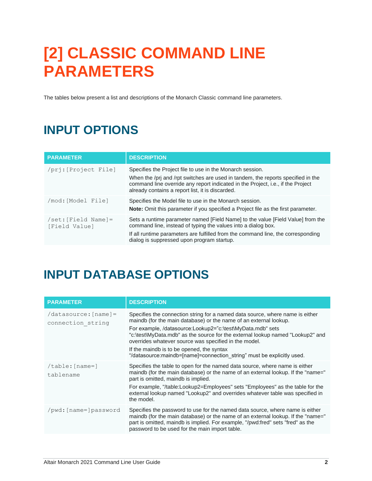# <span id="page-3-0"></span>**[2] CLASSIC COMMAND LINE PARAMETERS**

<span id="page-3-1"></span>The tables below present a list and descriptions of the Monarch Classic command line parameters.

## **INPUT OPTIONS**

| <b>PARAMETER</b>                                      | <b>DESCRIPTION</b>                                                                                                                                                                                                                                                                   |
|-------------------------------------------------------|--------------------------------------------------------------------------------------------------------------------------------------------------------------------------------------------------------------------------------------------------------------------------------------|
| /pri: [Project File]                                  | Specifies the Project file to use in the Monarch session.<br>When the /pri and /rpt switches are used in tandem, the reports specified in the<br>command line override any report indicated in the Project, i.e., if the Project<br>already contains a report list, it is discarded. |
| /mod: [Model File]                                    | Specifies the Model file to use in the Monarch session.<br><b>Note:</b> Omit this parameter if you specified a Project file as the first parameter.                                                                                                                                  |
| $\sqrt{\text{set}}$ : [Field Name] =<br>[Field Value] | Sets a runtime parameter named [Field Name] to the value [Field Value] from the<br>command line, instead of typing the values into a dialog box.<br>If all runtime parameters are fulfilled from the command line, the corresponding<br>dialog is suppressed upon program startup.   |

## <span id="page-3-2"></span>**INPUT DATABASE OPTIONS**

| <b>PARAMETER</b>                          | <b>DESCRIPTION</b>                                                                                                                                                                                                                                                                                                                                                                                                                                                                 |
|-------------------------------------------|------------------------------------------------------------------------------------------------------------------------------------------------------------------------------------------------------------------------------------------------------------------------------------------------------------------------------------------------------------------------------------------------------------------------------------------------------------------------------------|
| /datasource: [name]=<br>connection string | Specifies the connection string for a named data source, where name is either<br>maindb (for the main database) or the name of an external lookup.<br>For example, /datasource:Lookup2="c:\test\MyData.mdb" sets<br>"c:\test\MyData.mdb" as the source for the external lookup named "Lookup2" and<br>overrides whatever source was specified in the model.<br>If the maindb is to be opened, the syntax<br>"/datasource:maindb=[name]=connection string" must be explicitly used. |
| $/table: [name=]$<br>tablename            | Specifies the table to open for the named data source, where name is either<br>maindb (for the main database) or the name of an external lookup. If the "name="<br>part is omitted, maindb is implied.<br>For example, "/table:Lookup2=Employees" sets "Employees" as the table for the<br>external lookup named "Lookup2" and overrides whatever table was specified in<br>the model.                                                                                             |
| /pwd: [name=]password                     | Specifies the password to use for the named data source, where name is either<br>maindb (for the main database) or the name of an external lookup. If the "name="<br>part is omitted, maindb is implied. For example, "/pwd:fred" sets "fred" as the<br>password to be used for the main import table.                                                                                                                                                                             |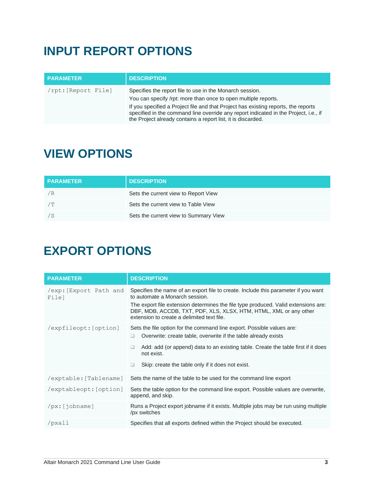## <span id="page-4-0"></span>**INPUT REPORT OPTIONS**

| <b>PARAMETER</b>    | <b>DESCRIPTION</b>                                                                                                                                                                                                                                                                                                                                                       |
|---------------------|--------------------------------------------------------------------------------------------------------------------------------------------------------------------------------------------------------------------------------------------------------------------------------------------------------------------------------------------------------------------------|
| /rpt: [Report File] | Specifies the report file to use in the Monarch session.<br>You can specify /rpt: more than once to open multiple reports.<br>If you specified a Project file and that Project has existing reports, the reports<br>specified in the command line override any report indicated in the Project, i.e., if<br>the Project already contains a report list, it is discarded. |

### <span id="page-4-1"></span>**VIEW OPTIONS**

| <b>PARAMETER</b> | <b>DESCRIPTION</b>                    |
|------------------|---------------------------------------|
| / R              | Sets the current view to Report View  |
| /T               | Sets the current view to Table View   |
|                  | Sets the current view to Summary View |

### <span id="page-4-2"></span>**EXPORT OPTIONS**

| <b>PARAMETER</b>               | <b>DESCRIPTION</b>                                                                                                                                                                                                                                                                                                            |
|--------------------------------|-------------------------------------------------------------------------------------------------------------------------------------------------------------------------------------------------------------------------------------------------------------------------------------------------------------------------------|
| /exp: Export Path and<br>File] | Specifies the name of an export file to create. Include this parameter if you want<br>to automate a Monarch session.<br>The export file extension determines the file type produced. Valid extensions are:<br>DBF, MDB, ACCDB, TXT, PDF, XLS, XLSX, HTM, HTML, XML or any other<br>extension to create a delimited text file. |
| /expfileopt: [option]          | Sets the file option for the command line export. Possible values are:<br>Overwrite: create table, overwrite if the table already exists<br>□<br>Add: add (or append) data to an existing table. Create the table first if it does<br>□<br>not exist.<br>Skip: create the table only if it does not exist.<br>□               |
| /exptable: [Tablename]         | Sets the name of the table to be used for the command line export                                                                                                                                                                                                                                                             |
| /exptableopt: [option]         | Sets the table option for the command line export. Possible values are overwrite,<br>append, and skip.                                                                                                                                                                                                                        |
| /px:[jobname]                  | Runs a Project export jobname if it exists. Multiple jobs may be run using multiple<br>/px switches                                                                                                                                                                                                                           |
| /pxall                         | Specifies that all exports defined within the Project should be executed.                                                                                                                                                                                                                                                     |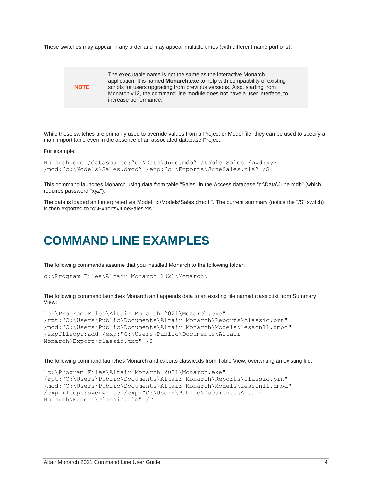These switches may appear in any order and may appear multiple times (with different name portions).



While these switches are primarily used to override values from a Project or Model file, they can be used to specify a main import table even in the absence of an associated database Project.

For example:

```
Monarch.exe /datasource:"c:\Data\June.mdb" /table:Sales /pwd:xyz 
/mod:"c:\Models\Sales.dmod" /exp:"c:\Exports\JuneSales.xls" /S
```
This command launches Monarch using data from table "Sales" in the Access database "c:\Data\June.mdb" (which requires password "xyz").

<span id="page-5-0"></span>The data is loaded and interpreted via Model "c:\Models\Sales.dmod.". The current summary (notice the "/S" switch) is then exported to "c:\Exports\JuneSales.xls."

### **COMMAND LINE EXAMPLES**

The following commands assume that you installed Monarch to the following folder:

c:\Program Files\Altair Monarch 2021\Monarch\

The following command launches Monarch and appends data to an existing file named classic.txt from Summary View:

```
"c:\Program Files\Altair Monarch 2021\Monarch.exe" 
/rpt:"C:\Users\Public\Documents\Altair Monarch\Reports\classic.prn" 
/mod:"C:\Users\Public\Documents\Altair Monarch\Models\lesson11.dmod" 
/expfileopt:add /exp:"C:\Users\Public\Documents\Altair
Monarch\Export\classic.txt" /S
```
The following command launches Monarch and exports classic.xls from Table View, overwriting an existing file:

```
"c:\Program Files\Altair Monarch 2021\Monarch.exe" 
/rpt:"C:\Users\Public\Documents\Altair Monarch\Reports\classic.prn" 
/mod:"C:\Users\Public\Documents\Altair Monarch\Models\lesson11.dmod" 
/expfileopt:overwrite /exp:"C:\Users\Public\Documents\Altair
Monarch\Export\classic.xls" /T
```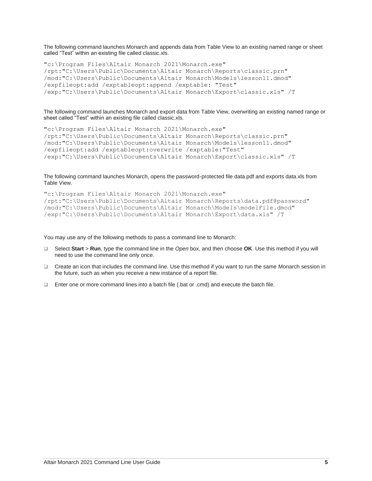The following command launches Monarch and appends data from Table View to an existing named range or sheet called "Test" within an existing file called classic.xls.

```
"c:\Program Files\Altair Monarch 2021\Monarch.exe" 
/rpt:"C:\Users\Public\Documents\Altair Monarch\Reports\classic.prn" 
/mod:"C:\Users\Public\Documents\Altair Monarch\Models\lesson11.dmod" 
/expfileopt:add /exptableopt:append /exptable: "Test" 
/exp:"C:\Users\Public\Documents\Altair Monarch\Export\classic.xls" /T
```
The following command launches Monarch and export data from Table View, overwriting an existing named range or sheet called "Test" within an existing file called classic.xls.

```
"c:\Program Files\Altair Monarch 2021\Monarch.exe" 
/rpt:"C:\Users\Public\Documents\Altair Monarch\Reports\classic.prn" 
/mod:"C:\Users\Public\Documents\Altair Monarch\Models\lesson11.dmod" 
/expfileopt:add /exptableopt:overwrite /exptable:"Test" 
/exp:"C:\Users\Public\Documents\Altair Monarch\Export\classic.xls" /T
```
The following command launches Monarch, opens the password-protected file data.pdf and exports data.xls from Table View.

```
"c:\Program Files\Altair Monarch 2021\Monarch.exe" 
/rpt:"C:\Users\Public\Documents\Altair Monarch\Reports\data.pdf@password" 
/mod:"C:\Users\Public\Documents\Altair Monarch\Models\modelFile.dmod" 
/exp:"C:\Users\Public\Documents\Altair Monarch\Export\data.xls" /T
```
You may use any of the following methods to pass a command line to Monarch:

- ❑ Select **Start** > **Run**, type the command line in the *Open* box, and then choose **OK**. Use this method if you will need to use the command line only once.
- ❑ Create an icon that includes the command line. Use this method if you want to run the same Monarch session in the future, such as when you receive a new instance of a report file.
- ❑ Enter one or more command lines into a batch file (.bat or .cmd) and execute the batch file.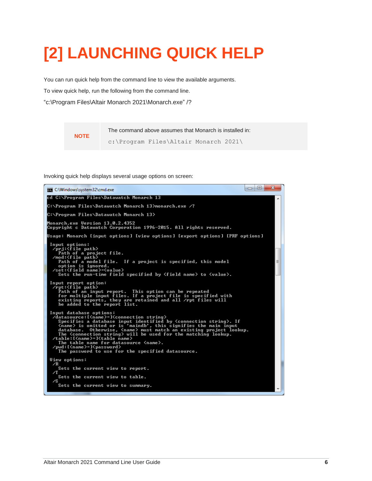# <span id="page-7-0"></span>**[2] LAUNCHING QUICK HELP**

You can run quick help from the command line to view the available arguments.

To view quick help, run the following from the command line.

"c:\Program Files\Altair Monarch 2021\Monarch.exe" /?

**NOTE**

The command above assumes that Monarch is installed in: c:\Program Files\Altair Monarch 2021\

Invoking quick help displays several usage options on screen:

| <b>EXIC:\Windows\system32\cmd.exe</b>                                                                                                                                                                                                                                                                                                                                                                                                                                                                                                                                                                                                                                     | $\mathbf{x}$<br>▣<br>$\Box$ |
|---------------------------------------------------------------------------------------------------------------------------------------------------------------------------------------------------------------------------------------------------------------------------------------------------------------------------------------------------------------------------------------------------------------------------------------------------------------------------------------------------------------------------------------------------------------------------------------------------------------------------------------------------------------------------|-----------------------------|
| cd C:\Program Files\Datawatch Monarch 13                                                                                                                                                                                                                                                                                                                                                                                                                                                                                                                                                                                                                                  |                             |
| C:\Program Files\Datawatch Monarch 13>monarch.exe /?                                                                                                                                                                                                                                                                                                                                                                                                                                                                                                                                                                                                                      |                             |
| C:\Program Files\Datawatch Monarch 13>                                                                                                                                                                                                                                                                                                                                                                                                                                                                                                                                                                                                                                    |                             |
| Monarch.exe Version 13.0.2.4352<br>Copyright c Datawatch Corporation 1996-2015. All rights reserved.                                                                                                                                                                                                                                                                                                                                                                                                                                                                                                                                                                      |                             |
| Usage: Monarch [input options] [view options] [export options] [PRF options]                                                                                                                                                                                                                                                                                                                                                                                                                                                                                                                                                                                              |                             |
| Input options:<br>/prj: <file path=""><br/>Path of a project file.<br/>/mod:<file path=""><br/>Path of a model file. If a project is specified, this model<br/>option is ignored.<br/><math>\sqrt{\sqrt{5}}</math> /set:<math>\langle</math>field name<math>\rangle</math>=<math>\langle</math>value<math>\rangle</math><br/>Sets the run-time field specified by <field name=""> to <value>.</value></field></file></file>                                                                                                                                                                                                                                               |                             |
| Input report option:<br>$\sqrt{\text{rot}}$ : $\langle \text{file } \text{path} \rangle$<br>Path of an input report. This option can be repeated<br>for multiple input files. If a project file is specified with<br>existing reports, they are retained and all /rpt files will<br>be added to the report list.                                                                                                                                                                                                                                                                                                                                                          |                             |
| Input database options:<br>/datasource:[ <name>=]<connection string=""><br/>Specifies a database input identified by <math>\zeta</math>connection string<math>\lambda</math>. If<br/><math>\langle</math>name&gt; is omitted or is 'maindb', this signifies the main input<br/>database. Otherwise, <name> must match an existing project lookup.<br/>The <connection string=""> will be used for the matching lookup.<br/>/table:[<name>=]<table_name><br/>The table name for datasource <name>.<br/>/pwd:[<name>=]<password><br/>The password to use for the specified datasource.</password></name></name></table_name></name></connection></name></connection></name> |                             |
| View options:<br>∕R<br>Sets the current view to report.<br>∕T                                                                                                                                                                                                                                                                                                                                                                                                                                                                                                                                                                                                             |                             |
| Sets the current view to table.<br>⁄S                                                                                                                                                                                                                                                                                                                                                                                                                                                                                                                                                                                                                                     |                             |
| Sets the current view to summary.                                                                                                                                                                                                                                                                                                                                                                                                                                                                                                                                                                                                                                         |                             |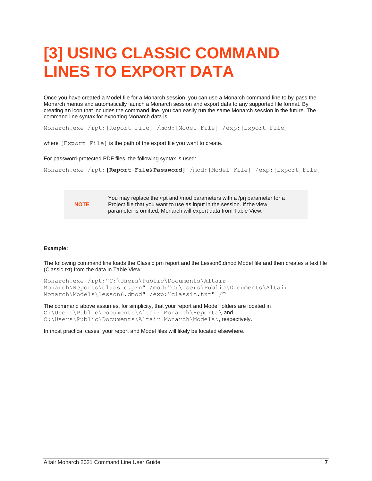# <span id="page-8-0"></span>**[3] USING CLASSIC COMMAND LINES TO EXPORT DATA**

Once you have created a Model file for a Monarch session, you can use a Monarch command line to by-pass the Monarch menus and automatically launch a Monarch session and export data to any supported file format. By creating an icon that includes the command line, you can easily run the same Monarch session in the future. The command line syntax for exporting Monarch data is:

Monarch.exe /rpt:[Report File] /mod:[Model File] /exp:[Export File]

where [Export File] is the path of the export file you want to create.

For password-protected PDF files, the following syntax is used:

```
Monarch.exe /rpt:[Report File@Password] /mod:[Model File] /exp:[Export File]
```
**NOTE**

You may replace the /rpt and /mod parameters with a /prj parameter for a Project file that you want to use as input in the session. If the view parameter is omitted, Monarch will export data from Table View.

#### **Example:**

The following command line loads the Classic.prn report and the Lesson6.dmod Model file and then creates a text file (Classic.txt) from the data in Table View:

```
Monarch.exe /rpt:"C:\Users\Public\Documents\Altair
Monarch\Reports\classic.prn" /mod:"C:\Users\Public\Documents\Altair
Monarch\Models\lesson6.dmod" /exp:"classic.txt" /T
```
The command above assumes, for simplicity, that your report and Model folders are located in C:\Users\Public\Documents\Altair Monarch\Reports\ and C:\Users\Public\Documents\Altair Monarch\Models\, respectively.

In most practical cases, your report and Model files will likely be located elsewhere.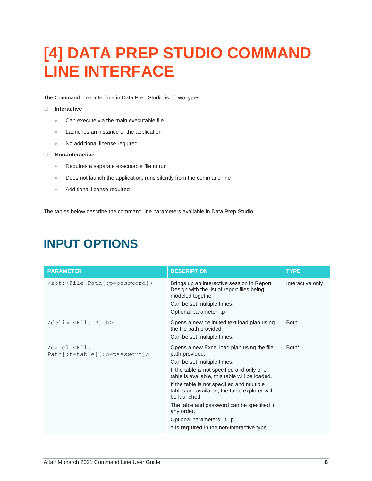# <span id="page-9-0"></span>**[4] DATA PREP STUDIO COMMAND LINE INTERFACE**

The Command Line Interface in Data Prep Studio is of two types:

#### ❑ **Interactive**

- Can execute via the main executable file
- Launches an instance of the application
- No additional license required

#### ❑ **Non-interactive**

- Requires a separate executable file to run
- Does not launch the application; runs silently from the command line
- Additional license required

<span id="page-9-1"></span>The tables below describe the command line parameters available in Data Prep Studio.

#### **PARAMETER DESCRIPTION TYPE** /rpt:<File Path[:p=password]> Brings up an interactive session in Report Design with the list of report files being modeled together. Can be set multiple times. Optional parameter: :p Interactive only /delim:<File Path> Opens a new delimited text load plan using the file path provided. Can be set multiple times. Both /excel:<File Path[:t=table][:p=password]> Opens a new Excel load plan using the file path provided. Can be set multiple times. If the table is not specified and only one table is available, this table will be loaded. If the table is not specified and multiple tables are available, the table explorer will be launched. The table and password can be specified in any order. Optional parameters: :t, :p :t is **required** in the non-interactive type. Both\*

### **INPUT OPTIONS**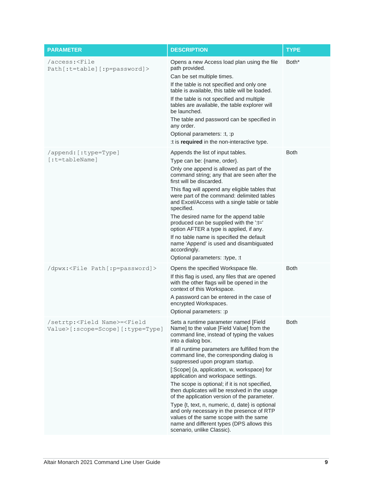| <b>PARAMETER</b>                                                                           | <b>DESCRIPTION</b>                                                                                                                                                                                                                                                                                                                                                                                                                                                                                                                                                                                                                                                                                                                                        | <b>TYPE</b> |
|--------------------------------------------------------------------------------------------|-----------------------------------------------------------------------------------------------------------------------------------------------------------------------------------------------------------------------------------------------------------------------------------------------------------------------------------------------------------------------------------------------------------------------------------------------------------------------------------------------------------------------------------------------------------------------------------------------------------------------------------------------------------------------------------------------------------------------------------------------------------|-------------|
| /access: <file<br>Path[:t=table][:p=password]&gt;</file<br>                                | Opens a new Access load plan using the file<br>path provided.<br>Can be set multiple times.<br>If the table is not specified and only one<br>table is available, this table will be loaded.<br>If the table is not specified and multiple<br>tables are available, the table explorer will<br>be launched.<br>The table and password can be specified in<br>any order.<br>Optional parameters: :t, :p<br>:t is required in the non-interactive type.                                                                                                                                                                                                                                                                                                      | Both*       |
| /append: [:type=Type]<br>$[ :t = tableName]$                                               | Appends the list of input tables.<br>Type can be: {name, order}.<br>Only one append is allowed as part of the<br>command string; any that are seen after the<br>first will be discarded.<br>This flag will append any eligible tables that<br>were part of the command: delimited tables<br>and Excel/Access with a single table or table<br>specified.<br>The desired name for the append table<br>produced can be supplied with the ":t="<br>option AFTER a type is applied, if any.<br>If no table name is specified the default<br>name 'Append' is used and disambiguated<br>accordingly.<br>Optional parameters: :type, :t                                                                                                                          | <b>Both</b> |
| /dpwx: <file path[:p="password]"></file>                                                   | Opens the specified Workspace file.<br>If this flag is used, any files that are opened<br>with the other flags will be opened in the<br>context of this Workspace.<br>A password can be entered in the case of<br>encrypted Workspaces.<br>Optional parameters: :p                                                                                                                                                                                                                                                                                                                                                                                                                                                                                        | Both        |
| /setrtp: <field name=""> =<field<br>Value&gt;[:scope=Scope][:type=Type]</field<br></field> | Sets a runtime parameter named [Field<br>Name] to the value [Field Value] from the<br>command line, instead of typing the values<br>into a dialog box.<br>If all runtime parameters are fulfilled from the<br>command line, the corresponding dialog is<br>suppressed upon program startup.<br>[:Scope] {a, application, w, workspace} for<br>application and workspace settings.<br>The scope is optional; if it is not specified,<br>then duplicates will be resolved in the usage<br>of the application version of the parameter.<br>Type {t, text, n, numeric, d, date} is optional<br>and only necessary in the presence of RTP<br>values of the same scope with the same<br>name and different types (DPS allows this<br>scenario, unlike Classic). | <b>Both</b> |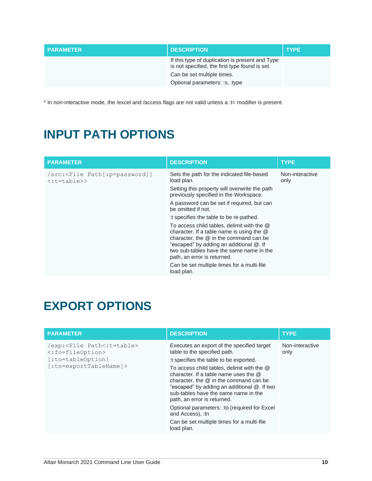| <b>PARAMETER</b> | <b>DESCRIPTION</b>                                                                                | <b>TYPE</b> |
|------------------|---------------------------------------------------------------------------------------------------|-------------|
|                  | If this type of duplication is present and Type<br>is not specified, the first type found is set. |             |
|                  | Can be set multiple times.                                                                        |             |
|                  | Optional parameters: :s, :type                                                                    |             |

<span id="page-11-0"></span>\* In non-interactive mode, the /excel and /access flags are not valid unless a :t= modifier is present.

## **INPUT PATH OPTIONS**

| <b>PARAMETER</b>                                                                   | <b>DESCRIPTION</b>                                                                                                                                                                                                                                                                                                      | <b>TYPE</b>             |
|------------------------------------------------------------------------------------|-------------------------------------------------------------------------------------------------------------------------------------------------------------------------------------------------------------------------------------------------------------------------------------------------------------------------|-------------------------|
| /src: <file path[:p="password]]&lt;br"><math>\langle</math>:t=table&gt;&gt;</file> | Sets the path for the indicated file-based<br>load plan.<br>Setting this property will overwrite the path<br>previously specified in the Workspace.                                                                                                                                                                     | Non-interactive<br>only |
|                                                                                    | A password can be set if required, but can<br>be omitted if not.                                                                                                                                                                                                                                                        |                         |
|                                                                                    | t specifies the table to be re-pathed.                                                                                                                                                                                                                                                                                  |                         |
|                                                                                    | To access child tables, delimit with the @<br>character. If a table name is using the $@$<br>character, the $@$ in the command can be<br>"escaped" by adding an additional @. If<br>two sub-tables have the same name in the<br>path, an error is returned.<br>Can be set multiple times for a multi-file<br>load plan. |                         |

## <span id="page-11-1"></span>**EXPORT OPTIONS**

| <b>PARAMETER</b>                                                                                                                                | <b>DESCRIPTION</b>                                                                                                                                                                                                                                                                                                                                                                                                                                                                                                | <b>TYPE</b>             |
|-------------------------------------------------------------------------------------------------------------------------------------------------|-------------------------------------------------------------------------------------------------------------------------------------------------------------------------------------------------------------------------------------------------------------------------------------------------------------------------------------------------------------------------------------------------------------------------------------------------------------------------------------------------------------------|-------------------------|
| /exp: <file path<:t="table"><br/><math>\langle</math>:fo=fileOption&gt;<br/>[:to=tableOption]<br/><math>[:</math>tn=exportTableName]&gt;</file> | Executes an export of the specified target<br>table to the specified path.<br>: t specifies the table to be exported.<br>To access child tables, delimit with the @<br>character. If a table name uses the $@$<br>character, the $@$ in the command can be<br>"escaped" by adding an additional @. If two<br>sub-tables have the same name in the<br>path, an error is returned.<br>Optional parameters: : to (required for Excel<br>and Access), :tn<br>Can be set multiple times for a multi-file<br>load plan. | Non-interactive<br>only |